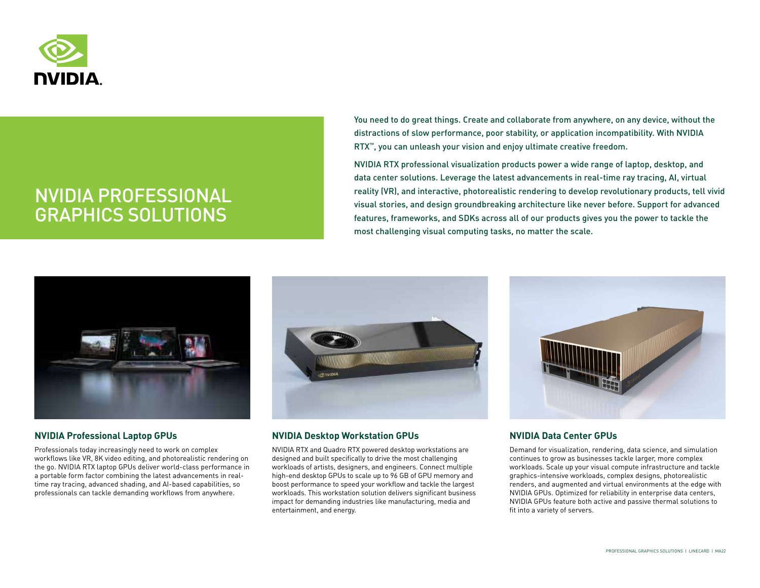

# NVIDIA PROFESSIONAL GRAPHICS SOLUTIONS

You need to do great things. Create and collaborate from anywhere, on any device, without the distractions of slow performance, poor stability, or application incompatibility. With NVIDIA RTX™, you can unleash your vision and enjoy ultimate creative freedom.

NVIDIA RTX professional visualization products power a wide range of laptop, desktop, and data center solutions. Leverage the latest advancements in real-time ray tracing, AI, virtual reality (VR), and interactive, photorealistic rendering to develop revolutionary products, tell vivid visual stories, and design groundbreaking architecture like never before. Support for advanced features, frameworks, and SDKs across all of our products gives you the power to tackle the most challenging visual computing tasks, no matter the scale.



## **NVIDIA Professional Laptop GPUs**

Professionals today increasingly need to work on complex workflows like VR, 8K video editing, and photorealistic rendering on the go. NVIDIA RTX laptop GPUs deliver world-class performance in a portable form factor combining the latest advancements in realtime ray tracing, advanced shading, and AI-based capabilities, so professionals can tackle demanding workflows from anywhere.



## **NVIDIA Desktop Workstation GPUs**

NVIDIA RTX and Quadro RTX powered desktop workstations are designed and built specifically to drive the most challenging workloads of artists, designers, and engineers. Connect multiple high-end desktop GPUs to scale up to 96 GB of GPU memory and boost performance to speed your workflow and tackle the largest workloads. This workstation solution delivers significant business impact for demanding industries like manufacturing, media and entertainment, and energy.



## **NVIDIA Data Center GPUs**

Demand for visualization, rendering, data science, and simulation continues to grow as businesses tackle larger, more complex workloads. Scale up your visual compute infrastructure and tackle graphics-intensive workloads, complex designs, photorealistic renders, and augmented and virtual environments at the edge with NVIDIA GPUs. Optimized for reliability in enterprise data centers, NVIDIA GPUs feature both active and passive thermal solutions to fit into a variety of servers.